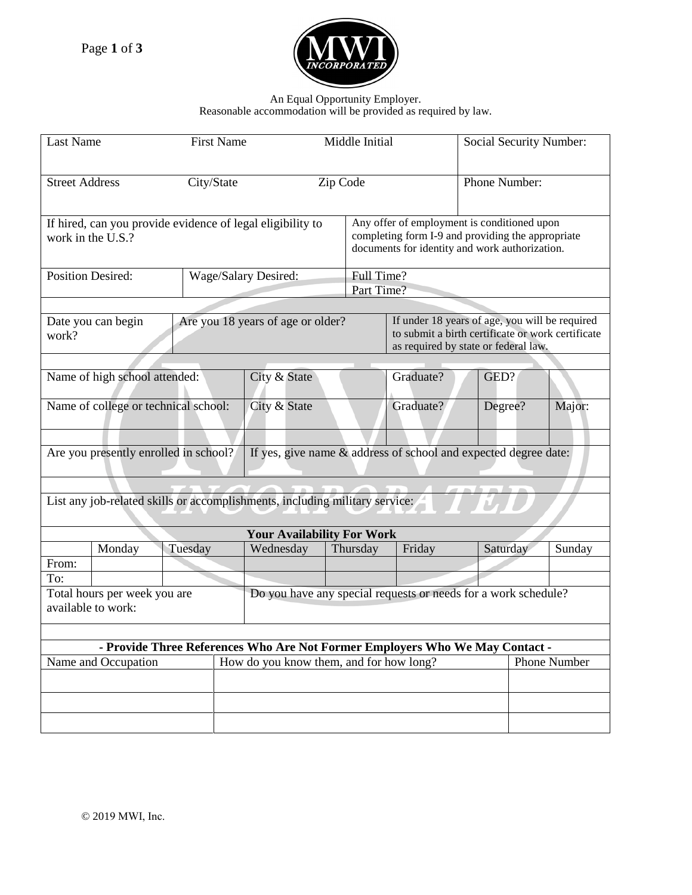

## An Equal Opportunity Employer.

Reasonable accommodation will be provided as required by law.

|                                                                                                          | <b>Last Name</b><br><b>First Name</b>              |                                                            |                                                                | Middle Initial                    |           |                                                                                                                                                    |                                                                                                                                             | Social Security Number: |        |  |
|----------------------------------------------------------------------------------------------------------|----------------------------------------------------|------------------------------------------------------------|----------------------------------------------------------------|-----------------------------------|-----------|----------------------------------------------------------------------------------------------------------------------------------------------------|---------------------------------------------------------------------------------------------------------------------------------------------|-------------------------|--------|--|
| <b>Street Address</b><br>City/State                                                                      |                                                    |                                                            |                                                                | Zip Code                          |           |                                                                                                                                                    |                                                                                                                                             | Phone Number:           |        |  |
|                                                                                                          | work in the U.S.?                                  | If hired, can you provide evidence of legal eligibility to |                                                                |                                   |           | Any offer of employment is conditioned upon<br>completing form I-9 and providing the appropriate<br>documents for identity and work authorization. |                                                                                                                                             |                         |        |  |
| <b>Position Desired:</b>                                                                                 |                                                    |                                                            | Wage/Salary Desired:                                           |                                   |           | Full Time?<br>Part Time?                                                                                                                           |                                                                                                                                             |                         |        |  |
| Date you can begin<br>work?                                                                              |                                                    |                                                            |                                                                | Are you 18 years of age or older? |           |                                                                                                                                                    | If under 18 years of age, you will be required<br>to submit a birth certificate or work certificate<br>as required by state or federal law. |                         |        |  |
| Name of high school attended:                                                                            |                                                    |                                                            |                                                                | City & State                      |           | Graduate?                                                                                                                                          |                                                                                                                                             | GED?                    |        |  |
|                                                                                                          | Name of college or technical school:               |                                                            | City & State                                                   |                                   | Graduate? |                                                                                                                                                    | Degree?                                                                                                                                     | Major:                  |        |  |
| Are you presently enrolled in school?<br>If yes, give name & address of school and expected degree date: |                                                    |                                                            |                                                                |                                   |           |                                                                                                                                                    |                                                                                                                                             |                         |        |  |
| List any job-related skills or accomplishments, including military service:                              |                                                    |                                                            |                                                                |                                   |           |                                                                                                                                                    |                                                                                                                                             |                         |        |  |
| <b>Your Availability For Work</b>                                                                        |                                                    |                                                            |                                                                |                                   |           |                                                                                                                                                    |                                                                                                                                             |                         |        |  |
|                                                                                                          | Monday                                             | Tuesday                                                    | Wednesday                                                      |                                   | Thursday  | Friday                                                                                                                                             |                                                                                                                                             | Saturday                | Sunday |  |
| From:                                                                                                    |                                                    |                                                            |                                                                |                                   |           |                                                                                                                                                    |                                                                                                                                             |                         |        |  |
| To:                                                                                                      |                                                    |                                                            |                                                                |                                   |           |                                                                                                                                                    |                                                                                                                                             |                         |        |  |
|                                                                                                          | Total hours per week you are<br>available to work: |                                                            | Do you have any special requests or needs for a work schedule? |                                   |           |                                                                                                                                                    |                                                                                                                                             |                         |        |  |
|                                                                                                          |                                                    |                                                            |                                                                |                                   |           |                                                                                                                                                    |                                                                                                                                             |                         |        |  |
| - Provide Three References Who Are Not Former Employers Who We May Contact -                             |                                                    |                                                            |                                                                |                                   |           |                                                                                                                                                    |                                                                                                                                             |                         |        |  |
|                                                                                                          | Name and Occupation                                |                                                            | How do you know them, and for how long?                        |                                   |           |                                                                                                                                                    | Phone Number                                                                                                                                |                         |        |  |
|                                                                                                          |                                                    |                                                            |                                                                |                                   |           |                                                                                                                                                    |                                                                                                                                             |                         |        |  |
|                                                                                                          |                                                    |                                                            |                                                                |                                   |           |                                                                                                                                                    |                                                                                                                                             |                         |        |  |
|                                                                                                          |                                                    |                                                            |                                                                |                                   |           |                                                                                                                                                    |                                                                                                                                             |                         |        |  |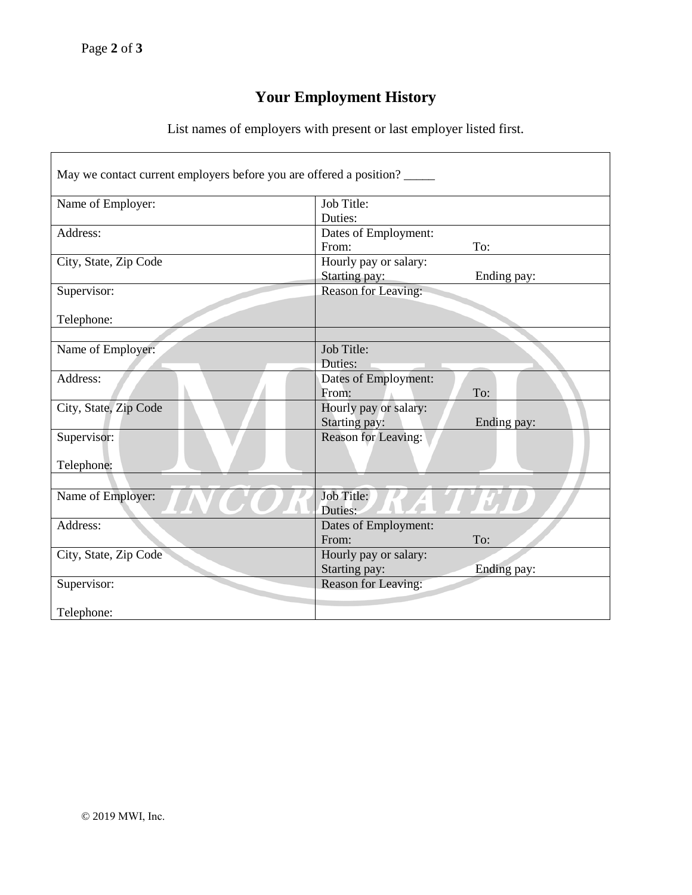## **Your Employment History**

List names of employers with present or last employer listed first.

| May we contact current employers before you are offered a position? |                       |             |
|---------------------------------------------------------------------|-----------------------|-------------|
| Name of Employer:                                                   | Job Title:            |             |
|                                                                     | Duties:               |             |
| Address:                                                            | Dates of Employment:  |             |
|                                                                     | From:                 | To:         |
| City, State, Zip Code                                               | Hourly pay or salary: |             |
|                                                                     | Starting pay:         | Ending pay: |
| Supervisor:                                                         | Reason for Leaving:   |             |
|                                                                     |                       |             |
| Telephone:                                                          |                       |             |
|                                                                     |                       |             |
| Name of Employer:                                                   | Job Title:            |             |
|                                                                     | Duties:               |             |
| Address:                                                            | Dates of Employment:  |             |
|                                                                     | From:                 | To:         |
| City, State, Zip Code                                               | Hourly pay or salary: |             |
|                                                                     | Starting pay:         | Ending pay: |
| Supervisor:                                                         | Reason for Leaving:   |             |
|                                                                     |                       |             |
| Telephone:                                                          |                       |             |
|                                                                     |                       |             |
| Name of Employer:                                                   | Job Title:<br>Duties: |             |
| Address:                                                            | Dates of Employment:  |             |
|                                                                     | From:                 | To:         |
| City, State, Zip Code                                               | Hourly pay or salary: |             |
|                                                                     | Starting pay:         | Ending pay: |
| Supervisor:                                                         | Reason for Leaving:   |             |
|                                                                     |                       |             |
| Telephone:                                                          |                       |             |